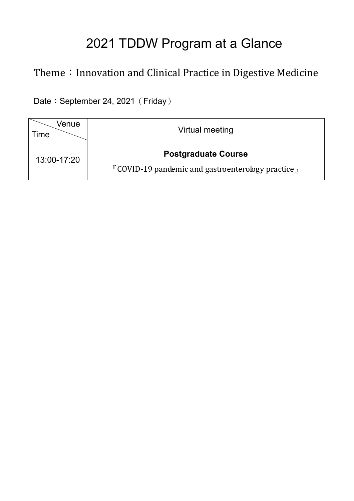# 2021 TDDW Program at a Glance

## Theme: Innovation and Clinical Practice in Digestive Medicine

Date: September 24, 2021 (Friday)

| Venue<br><b>Time</b> | Virtual meeting                                                                                 |
|----------------------|-------------------------------------------------------------------------------------------------|
| 13:00-17:20          | <b>Postgraduate Course</b><br>$\Gamma$ COVID-19 pandemic and gastroenterology practice $\Gamma$ |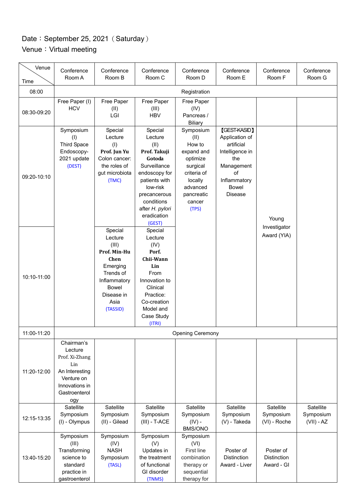### Date: September 25, 2021 (Saturday) Venue: Virtual meeting

| Venue<br>Time | Conference<br>Room A                                                                                                     | Conference<br>Room B                                                                                                                           | Conference<br>Room C                                                                                                                                                                         | Conference<br>Room D                                                                                                                     | Conference<br>Room E                                                                                                                                | Conference<br>Room F                          | Conference<br>Room G                   |
|---------------|--------------------------------------------------------------------------------------------------------------------------|------------------------------------------------------------------------------------------------------------------------------------------------|----------------------------------------------------------------------------------------------------------------------------------------------------------------------------------------------|------------------------------------------------------------------------------------------------------------------------------------------|-----------------------------------------------------------------------------------------------------------------------------------------------------|-----------------------------------------------|----------------------------------------|
| 08:00         | Registration                                                                                                             |                                                                                                                                                |                                                                                                                                                                                              |                                                                                                                                          |                                                                                                                                                     |                                               |                                        |
| 08:30-09:20   | Free Paper (I)<br><b>HCV</b>                                                                                             | Free Paper<br>(II)<br>LGI                                                                                                                      | Free Paper<br>(III)<br><b>HBV</b>                                                                                                                                                            | Free Paper<br>(IV)<br>Pancreas /<br><b>Biliary</b>                                                                                       |                                                                                                                                                     |                                               |                                        |
| 09:20-10:10   | Symposium<br>(1)<br><b>Third Space</b><br>Endoscopy-<br>2021 update<br>(DEST)                                            | Special<br>Lecture<br>(1)<br>Prof. Jun Yu<br>Colon cancer:<br>the roles of<br>gut microbiota<br>(TMC)                                          | Special<br>Lecture<br>(II)<br>Prof. Takuji<br>Gotoda<br>Surveillance<br>endoscopy for<br>patients with<br>low-risk<br>precancerous<br>conditions<br>after H. pylori<br>eradication<br>(GEST) | Symposium<br>(II)<br>How to<br>expand and<br>optimize<br>surgical<br>criteria of<br>locally<br>advanced<br>pancreatic<br>cancer<br>(TPS) | <b>[GEST-KASID]</b><br>Application of<br>artificial<br>Intelligence in<br>the<br>Management<br>of<br>Inflammatory<br><b>Bowel</b><br><b>Disease</b> | Young                                         |                                        |
| 10:10-11:00   |                                                                                                                          | Special<br>Lecture<br>(III)<br>Prof. Min-Hu<br>Chen<br>Emerging<br>Trends of<br>Inflammatory<br><b>Bowel</b><br>Disease in<br>Asia<br>(TASSID) | Special<br>Lecture<br>(IV)<br>Porf.<br>Chii-Wann<br>Lin<br>From<br>Innovation to<br>Clinical<br>Practice:<br>Co-creation<br>Model and<br>Case Study<br>(ITRI)                                |                                                                                                                                          |                                                                                                                                                     | Investigator<br>Award (YIA)                   |                                        |
| 11:00-11:20   |                                                                                                                          |                                                                                                                                                |                                                                                                                                                                                              | <b>Opening Ceremony</b>                                                                                                                  |                                                                                                                                                     |                                               |                                        |
| 11:20-12:00   | Chairman's<br>Lecture<br>Prof. Xi-Zhang<br>Lin<br>An Interesting<br>Venture on<br>Innovations in<br>Gastroenterol<br>ogy |                                                                                                                                                |                                                                                                                                                                                              |                                                                                                                                          |                                                                                                                                                     |                                               |                                        |
| 12:15-13:35   | Satellite<br>Symposium<br>(I) - Olympus                                                                                  | Satellite<br>Symposium<br>(II) - Gilead                                                                                                        | Satellite<br>Symposium<br>$(III) - T-ACE$                                                                                                                                                    | Satellite<br>Symposium<br>$(IV)$ -<br>BMS/ONO                                                                                            | Satellite<br>Symposium<br>(V) - Takeda                                                                                                              | Satellite<br>Symposium<br>(VI) - Roche        | Satellite<br>Symposium<br>$(VII) - AZ$ |
| 13:40-15:20   | Symposium<br>(III)<br>Transforming<br>science to<br>standard<br>practice in<br>gastroenterol                             | Symposium<br>(IV)<br><b>NASH</b><br>Symposium<br>(TASL)                                                                                        | Symposium<br>(V)<br>Updates in<br>the treatment<br>of functional<br>GI disorder<br>(TNMS)                                                                                                    | Symposium<br>(VI)<br><b>First line</b><br>combination<br>therapy or<br>sequential<br>therapy for                                         | Poster of<br><b>Distinction</b><br>Award - Liver                                                                                                    | Poster of<br><b>Distinction</b><br>Award - GI |                                        |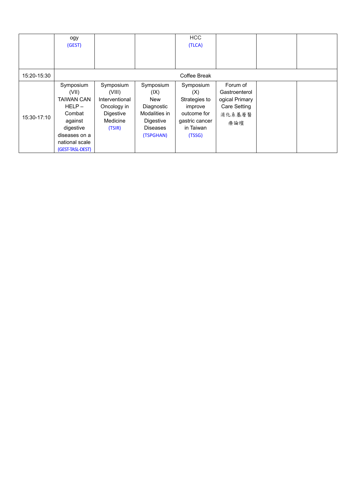|             | ogy<br>(GEST)                                                                                                                                |                                                                                         |                                                                                                             | <b>HCC</b><br>(TLCA)                                                                                 |                                                                                     |  |
|-------------|----------------------------------------------------------------------------------------------------------------------------------------------|-----------------------------------------------------------------------------------------|-------------------------------------------------------------------------------------------------------------|------------------------------------------------------------------------------------------------------|-------------------------------------------------------------------------------------|--|
|             |                                                                                                                                              |                                                                                         |                                                                                                             |                                                                                                      |                                                                                     |  |
| 15:20-15:30 |                                                                                                                                              |                                                                                         |                                                                                                             | Coffee Break                                                                                         |                                                                                     |  |
| 15:30-17:10 | Symposium<br>(VII)<br><b>TAIWAN CAN</b><br>$HELP -$<br>Combat<br>against<br>digestive<br>diseases on a<br>national scale<br>(GEST-TASL-DEST) | Symposium<br>(VIII)<br>Interventional<br>Oncology in<br>Digestive<br>Medicine<br>(TSIR) | Symposium<br>(IX)<br><b>New</b><br>Diagnostic<br>Modalities in<br>Digestive<br><b>Diseases</b><br>(TSPGHAN) | Symposium<br>(X)<br>Strategies to<br>improve<br>outcome for<br>gastric cancer<br>in Taiwan<br>(TSSG) | Forum of<br>Gastroenterol<br>ogical Primary<br><b>Care Setting</b><br>消化系基層醫<br>療論壇 |  |